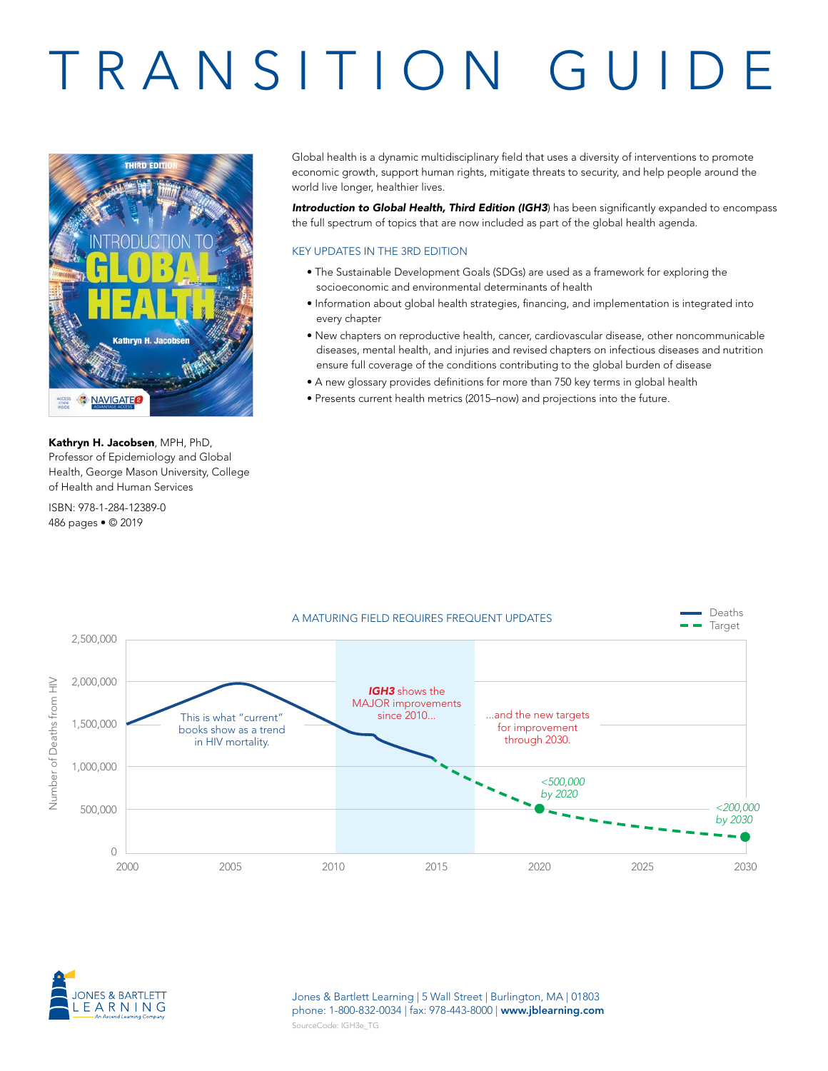# TRANSITION GUIDE



Kathryn H. Jacobsen, MPH, PhD, Professor of Epidemiology and Global Health, George Mason University, College of Health and Human Services

ISBN: 978-1-284-12389-0 486 pages • © 2019

Global health is a dynamic multidisciplinary field that uses a diversity of interventions to promote economic growth, support human rights, mitigate threats to security, and help people around the world live longer, healthier lives.

*Introduction to Global Health, Third Edition (IGH3*) has been significantly expanded to encompass the full spectrum of topics that are now included as part of the global health agenda.

# KEY UPDATES IN THE 3RD EDITION

- The Sustainable Development Goals (SDGs) are used as a framework for exploring the socioeconomic and environmental determinants of health
- Information about global health strategies, financing, and implementation is integrated into every chapter
- New chapters on reproductive health, cancer, cardiovascular disease, other noncommunicable diseases, mental health, and injuries and revised chapters on infectious diseases and nutrition ensure full coverage of the conditions contributing to the global burden of disease
- A new glossary provides definitions for more than 750 key terms in global health
- Presents current health metrics (2015–now) and projections into the future.



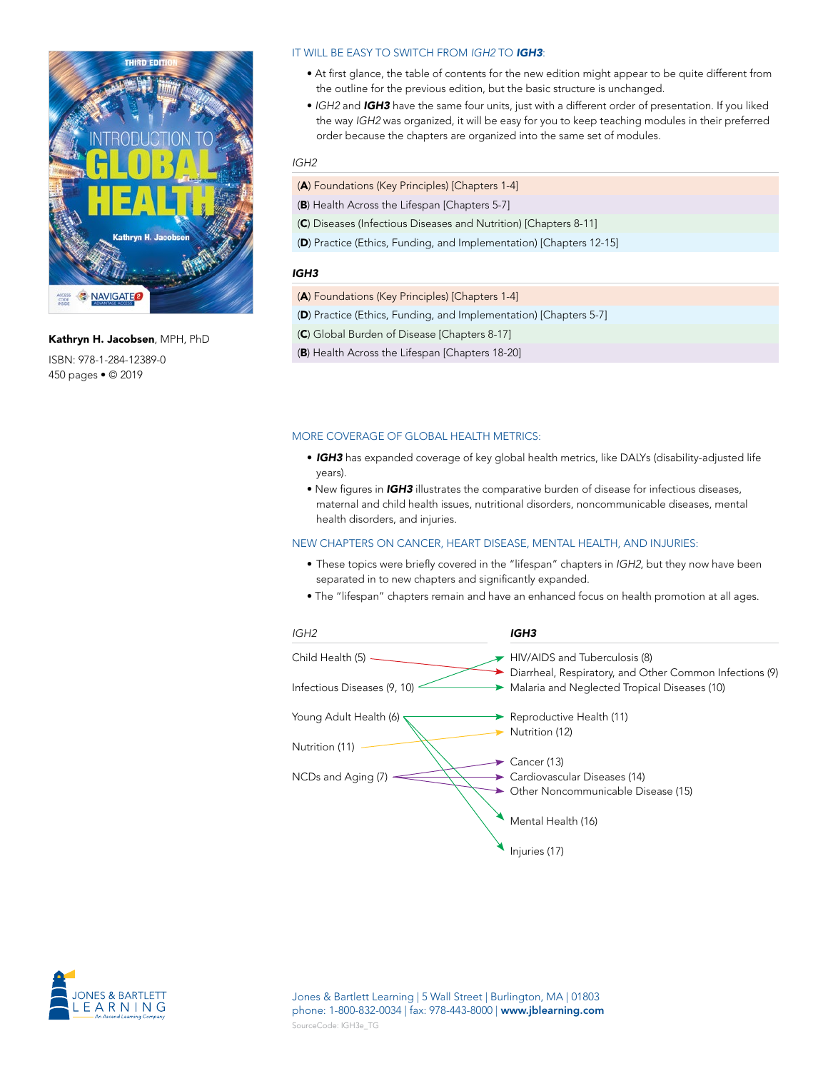

Kathryn H. Jacobsen, MPH, PhD ISBN: 978-1-284-12389-0 450 pages • © 2019

# IT WILL BE EASY TO SWITCH FROM *IGH2* TO *IGH3*:

- At first glance, the table of contents for the new edition might appear to be quite different from the outline for the previous edition, but the basic structure is unchanged.
- *IGH2* and *IGH3* have the same four units, just with a different order of presentation. If you liked the way *IGH2* was organized, it will be easy for you to keep teaching modules in their preferred order because the chapters are organized into the same set of modules.

#### *IGH2*

- (A) Foundations (Key Principles) [Chapters 1-4]
- (B) Health Across the Lifespan [Chapters 5-7]
- (C) Diseases (Infectious Diseases and Nutrition) [Chapters 8-11]
- (D) Practice (Ethics, Funding, and Implementation) [Chapters 12-15]

#### *IGH3*

- (A) Foundations (Key Principles) [Chapters 1-4]
- (D) Practice (Ethics, Funding, and Implementation) [Chapters 5-7]
- (C) Global Burden of Disease [Chapters 8-17]
- (B) Health Across the Lifespan [Chapters 18-20]

#### MORE COVERAGE OF GLOBAL HEALTH METRICS:

- *IGH3* has expanded coverage of key global health metrics, like DALYs (disability-adjusted life years).
- New figures in *IGH3* illustrates the comparative burden of disease for infectious diseases, maternal and child health issues, nutritional disorders, noncommunicable diseases, mental health disorders, and injuries.

# NEW CHAPTERS ON CANCER, HEART DISEASE, MENTAL HEALTH, AND INJURIES:

- These topics were briefly covered in the "lifespan" chapters in *IGH2*, but they now have been separated in to new chapters and significantly expanded.
- The "lifespan" chapters remain and have an enhanced focus on health promotion at all ages.



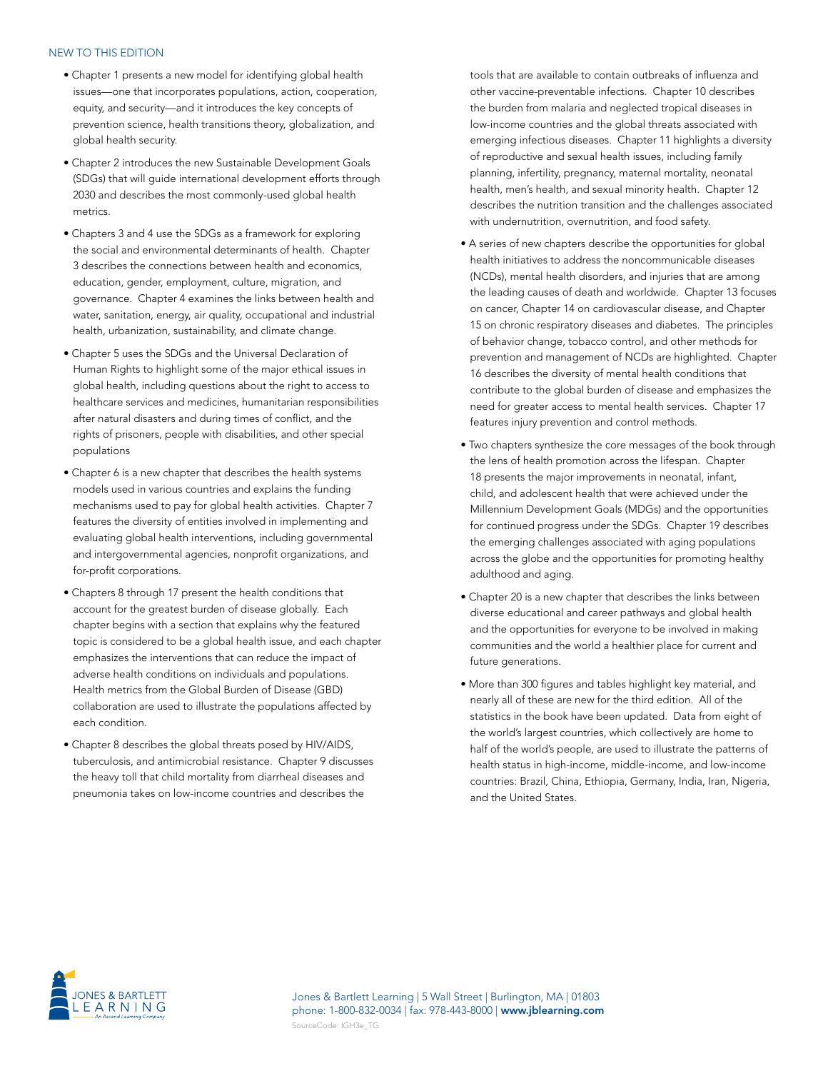#### NEW TO THIS EDITION

- Chapter 1 presents a new model for identifying global health issues—one that incorporates populations, action, cooperation, equity, and security—and it introduces the key concepts of prevention science, health transitions theory, globalization, and global health security.
- Chapter 2 introduces the new Sustainable Development Goals (SDGs) that will guide international development efforts through 2030 and describes the most commonly-used global health metrics.
- Chapters 3 and 4 use the SDGs as a framework for exploring the social and environmental determinants of health. Chapter 3 describes the connections between health and economics, education, gender, employment, culture, migration, and governance. Chapter 4 examines the links between health and water, sanitation, energy, air quality, occupational and industrial health, urbanization, sustainability, and climate change.
- Chapter 5 uses the SDGs and the Universal Declaration of Human Rights to highlight some of the major ethical issues in global health, including questions about the right to access to healthcare services and medicines, humanitarian responsibilities after natural disasters and during times of conflict, and the rights of prisoners, people with disabilities, and other special populations
- Chapter 6 is a new chapter that describes the health systems models used in various countries and explains the funding mechanisms used to pay for global health activities. Chapter 7 features the diversity of entities involved in implementing and evaluating global health interventions, including governmental and intergovernmental agencies, nonprofit organizations, and for-profit corporations.
- Chapters 8 through 17 present the health conditions that account for the greatest burden of disease globally. Each chapter begins with a section that explains why the featured topic is considered to be a global health issue, and each chapter emphasizes the interventions that can reduce the impact of adverse health conditions on individuals and populations. Health metrics from the Global Burden of Disease (GBD) collaboration are used to illustrate the populations affected by each condition.
- Chapter 8 describes the global threats posed by HIV/AIDS, tuberculosis, and antimicrobial resistance. Chapter 9 discusses the heavy toll that child mortality from diarrheal diseases and pneumonia takes on low-income countries and describes the

tools that are available to contain outbreaks of influenza and other vaccine-preventable infections. Chapter 10 describes the burden from malaria and neglected tropical diseases in low-income countries and the global threats associated with emerging infectious diseases. Chapter 11 highlights a diversity of reproductive and sexual health issues, including family planning, infertility, pregnancy, maternal mortality, neonatal health, men's health, and sexual minority health. Chapter 12 describes the nutrition transition and the challenges associated with undernutrition, overnutrition, and food safety.

- A series of new chapters describe the opportunities for global health initiatives to address the noncommunicable diseases (NCDs), mental health disorders, and injuries that are among the leading causes of death and worldwide. Chapter 13 focuses on cancer, Chapter 14 on cardiovascular disease, and Chapter 15 on chronic respiratory diseases and diabetes. The principles of behavior change, tobacco control, and other methods for prevention and management of NCDs are highlighted. Chapter 16 describes the diversity of mental health conditions that contribute to the global burden of disease and emphasizes the need for greater access to mental health services. Chapter 17 features injury prevention and control methods.
- Two chapters synthesize the core messages of the book through the lens of health promotion across the lifespan. Chapter 18 presents the major improvements in neonatal, infant, child, and adolescent health that were achieved under the Millennium Development Goals (MDGs) and the opportunities for continued progress under the SDGs. Chapter 19 describes the emerging challenges associated with aging populations across the globe and the opportunities for promoting healthy adulthood and aging.
- Chapter 20 is a new chapter that describes the links between diverse educational and career pathways and global health and the opportunities for everyone to be involved in making communities and the world a healthier place for current and future generations.
- More than 300 figures and tables highlight key material, and nearly all of these are new for the third edition. All of the statistics in the book have been updated. Data from eight of the world's largest countries, which collectively are home to half of the world's people, are used to illustrate the patterns of health status in high-income, middle-income, and low-income countries: Brazil, China, Ethiopia, Germany, India, Iran, Nigeria, and the United States.